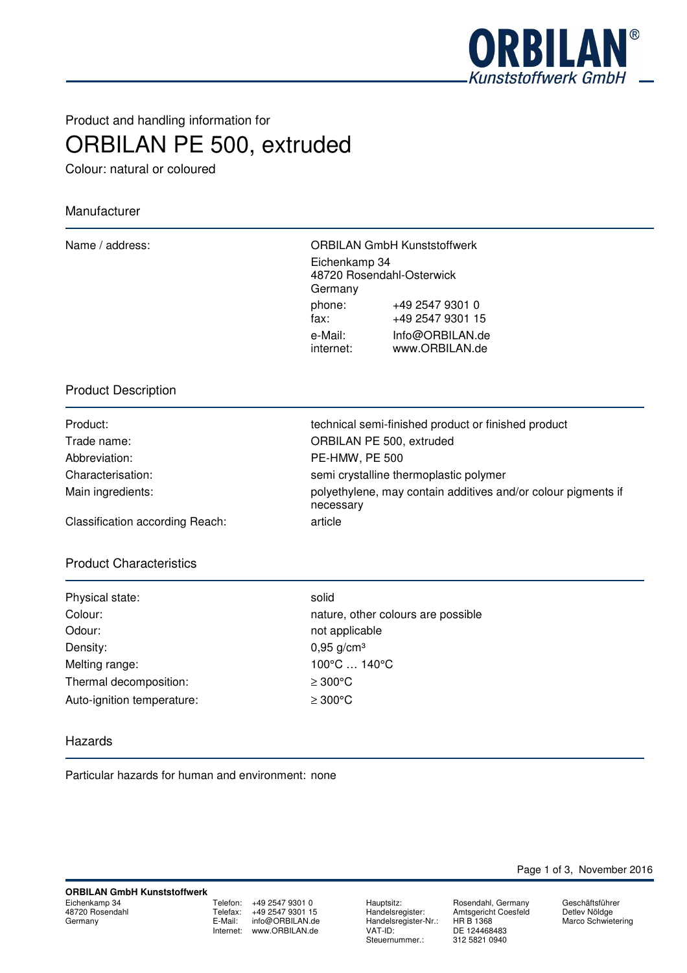

# Product and handling information for ORBILAN PE 500, extruded

Colour: natural or coloured

## Manufacturer

|                          | <b>ORBILAN GmbH Kunststoffwerk</b>  |
|--------------------------|-------------------------------------|
| Eichenkamp 34<br>Germany | 48720 Rosendahl-Osterwick           |
| phone:<br>fax:           | +49 2547 9301 0<br>+49 2547 9301 15 |
| e-Mail:<br>internet:     | Info@ORBILAN.de<br>www.ORBILAN.de   |
|                          |                                     |

## Product Description

| Product:          |
|-------------------|
| Trade name:       |
| Abbreviation:     |
| Characterisation: |
| Main ingredients: |
|                   |

technical semi-finished product or finished product ORBILAN PE 500, extruded PE-HMW, PE 500 semi crystalline thermoplastic polymer polyethylene, may contain additives and/or colour pigments if necessary

Classification according Reach: article

### Product Characteristics

| Physical state:            | solid         |
|----------------------------|---------------|
| Colour:                    | natur         |
| Odour:                     | not a         |
| Density:                   | 0,95          |
| Melting range:             | $100^{\circ}$ |
| Thermal decomposition:     | $\geq 300$    |
| Auto-ignition temperature: | $\geq 300$    |

nature, other colours are possible not applicable  $0,95$  g/cm<sup>3</sup> 100°C ... 140°C  $\geq 300^{\circ}$ C  $≥ 300°C$ 

#### Hazards

Particular hazards for human and environment: none

Telefon: +49 2547 9301 0 Telefax: +49 2547 9301 15<br>E-Mail: info@ORBILAN.de info@ORBILAN.de Internet: www.ORBILAN.de

Hauptsitz: Rosendahl, Germany<br>Handelsregister: Amtsgericht Coesfeld Handelsregister-Nr.:<br>VAT-ID: Steuernummer.:

Amtsgericht Coesfeld<br>HR B 1368 DE 124468483<br>312 5821 0940

Page 1 of 3, November 2016

Geschäftsführer Detlev Nöldge Marco Schwietering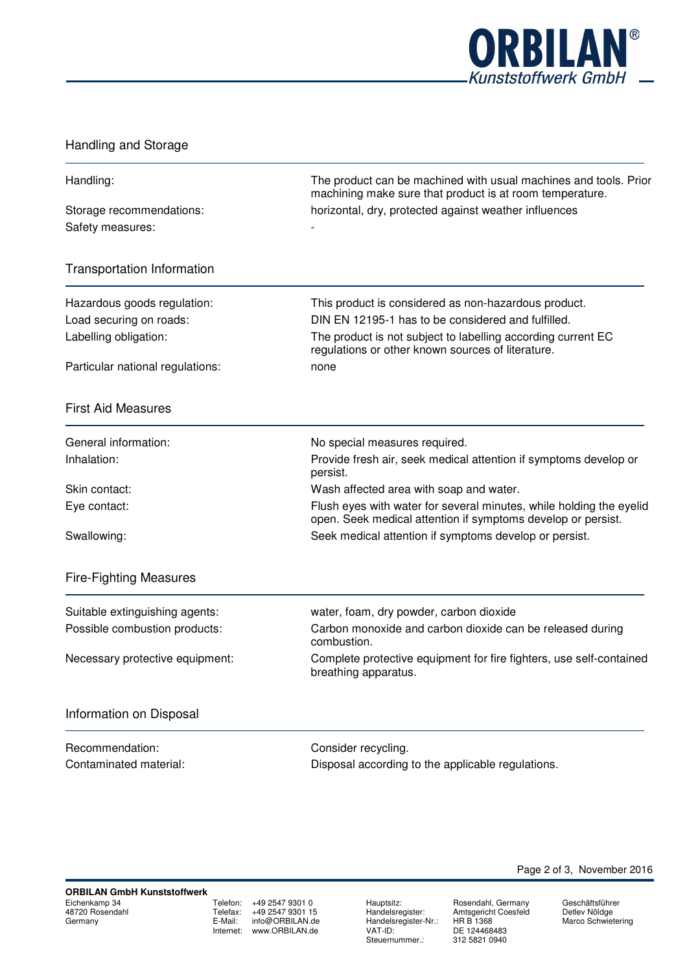

## Handling and Storage

| Handling:                                        | The product can be machined with usual machines and tools. Prior<br>machining make sure that product is at room temperature.                                            |
|--------------------------------------------------|-------------------------------------------------------------------------------------------------------------------------------------------------------------------------|
| Storage recommendations:<br>Safety measures:     | horizontal, dry, protected against weather influences                                                                                                                   |
| <b>Transportation Information</b>                |                                                                                                                                                                         |
| Hazardous goods regulation:                      | This product is considered as non-hazardous product.                                                                                                                    |
| Load securing on roads:<br>Labelling obligation: | DIN EN 12195-1 has to be considered and fulfilled.<br>The product is not subject to labelling according current EC<br>regulations or other known sources of literature. |
| Particular national regulations:                 | none                                                                                                                                                                    |
| <b>First Aid Measures</b>                        |                                                                                                                                                                         |
| General information:                             | No special measures required.                                                                                                                                           |
| Inhalation:                                      | Provide fresh air, seek medical attention if symptoms develop or<br>persist.                                                                                            |
| Skin contact:                                    | Wash affected area with soap and water.                                                                                                                                 |
| Eye contact:                                     | Flush eyes with water for several minutes, while holding the eyelid<br>open. Seek medical attention if symptoms develop or persist.                                     |
| Swallowing:                                      | Seek medical attention if symptoms develop or persist.                                                                                                                  |
| <b>Fire-Fighting Measures</b>                    |                                                                                                                                                                         |
| Suitable extinguishing agents:                   | water, foam, dry powder, carbon dioxide                                                                                                                                 |
| Possible combustion products:                    | Carbon monoxide and carbon dioxide can be released during<br>combustion.                                                                                                |
| Necessary protective equipment:                  | Complete protective equipment for fire fighters, use self-contained<br>breathing apparatus.                                                                             |
| Information on Disposal                          |                                                                                                                                                                         |
| Recommendation:                                  | Consider recycling.                                                                                                                                                     |
| Contaminated material:                           | Disposal according to the applicable regulations.                                                                                                                       |
|                                                  |                                                                                                                                                                         |

Telefon: +49 2547 9301 0<br>Telefax: +49 2547 9301 15  $+49\,2547\,9301\,15$ E-Mail: info@ORBILAN.de Internet: www.ORBILAN.de

Handelsregister-Nr.:<br>VAT-ID: Steuernummer.:

Hauptsitz: Rosendahl, Germany Handelsregister: Amtsgericht Coesfeld DE 124468483<br>312 5821 0940

Geschäftsführer Detlev Nöldge Marco Schwietering

Page 2 of 3, November 2016